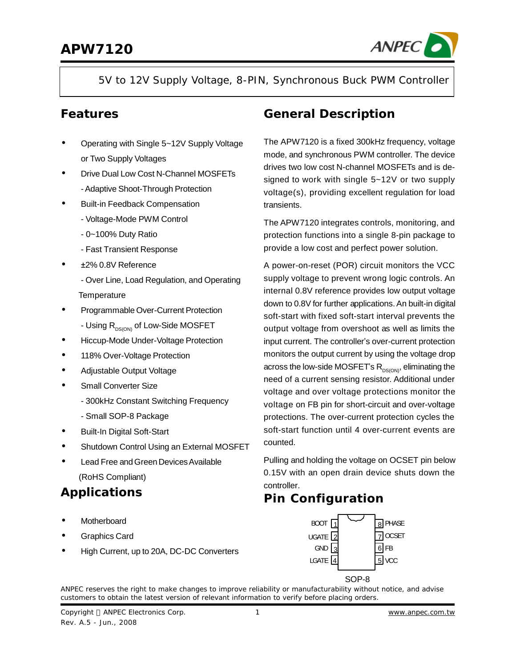

5V to 12V Supply Voltage, 8-PIN, Synchronous Buck PWM Controller

### **Features**

- **·** Operating with Single 5~12V Supply Voltage or Two Supply Voltages
- **·** Drive Dual Low Cost N-Channel MOSFETs -Adaptive Shoot-Through Protection
- **·** Built-in Feedback Compensation
	- Voltage-Mode PWM Control
	- 0~100% Duty Ratio
	- Fast Transient Response
- **·** ±2% 0.8V Reference
	- Over Line, Load Regulation, and Operating **Temperature**
- **·** Programmable Over-Current Protection
	- Using R<sub>DS(ON)</sub> of Low-Side MOSFET
- **·** Hiccup-Mode Under-Voltage Protection
- **·** 118% Over-Voltage Protection
- **·** Adjustable Output Voltage
- **·** Small Converter Size
	- 300kHz Constant Switching Frequency
	- Small SOP-8 Package
- **·** Built-In Digital Soft-Start
- **·** Shutdown Control Using an External MOSFET
- **·** Lead Free andGreenDevicesAvailable (RoHS Compliant)

# **Applications**

- **·** Motherboard
- **·** Graphics Card
- **·** High Current, up to 20A, DC-DC Converters

### **General Description**

The APW7120 is a fixed 300kHz frequency, voltage mode, and synchronous PWM controller. The device drives two low cost N-channel MOSFETs and is designed to work with single 5~12V or two supply voltage(s), providing excellent regulation for load transients.

The APW7120 integrates controls, monitoring, and protection functions into a single 8-pin package to provide a low cost and perfect power solution.

A power-on-reset (POR) circuit monitors the VCC supply voltage to prevent wrong logic controls. An internal 0.8V reference provides low output voltage down to 0.8V for further applications.An built-in digital soft-start with fixed soft-start interval prevents the output voltage from overshoot as well as limits the input current. The controller's over-current protection monitors the output current by using the voltage drop across the low-side MOSFET's  $R_{DS(ON)}$ , eliminating the need of a current sensing resistor. Additional under voltage and over voltage protections monitor the voltage on FB pin for short-circuit and over-voltage protections. The over-current protection cycles the soft-start function until 4 over-current events are counted.

Pulling and holding the voltage on OCSET pin below 0.15V with an open drain device shuts down the controller.

## **Pin Configuration**



ANPEC reserves the right to make changes to improve reliability or manufacturability without notice, and advise customers to obtain the latest version of relevant information to verify before placing orders.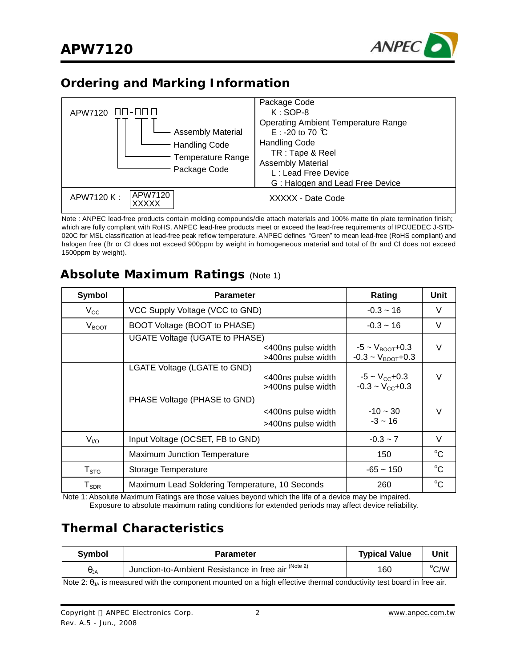

### **Ordering and Marking Information**



Note : ANPEC lead-free products contain molding compounds/die attach materials and 100% matte tin plate termination finish; which are fully compliant with RoHS. ANPEC lead-free products meet or exceed the lead-free requirements of IPC/JEDEC J-STD-020C for MSL classification at lead-free peak reflow temperature. ANPEC defines "Green" to mean lead-free (RoHS compliant) and halogen free (Br or Cl does not exceed 900ppm by weight in homogeneous material and total of Br and Cl does not exceed 1500ppm by weight).

### **Absolute Maximum Ratings** (Note 1)

| <b>Symbol</b>                | <b>Parameter</b>                                                           | Rating                                                            | Unit        |
|------------------------------|----------------------------------------------------------------------------|-------------------------------------------------------------------|-------------|
| $V_{\rm CC}$                 | VCC Supply Voltage (VCC to GND)                                            | $-0.3 - 16$                                                       | V           |
| $V_{\text{BOOT}}$            | BOOT Voltage (BOOT to PHASE)                                               | $-0.3 - 16$                                                       | V           |
|                              | UGATE Voltage (UGATE to PHASE)<br><400ns pulse width<br>>400ns pulse width | $-5 \sim V_{\text{BOOT}} + 0.3$<br>$-0.3 - V_{\text{BOOT}} + 0.3$ | $\vee$      |
|                              | LGATE Voltage (LGATE to GND)<br><400ns pulse width<br>>400ns pulse width   | $-5 \sim V_{\rm CC} + 0.3$<br>$-0.3 - V_{CC} + 0.3$               | V           |
|                              | PHASE Voltage (PHASE to GND)<br><400ns pulse width<br>>400ns pulse width   | $-10 - 30$<br>$-3 \sim 16$                                        | V           |
| $V_{VQ}$                     | Input Voltage (OCSET, FB to GND)                                           | $-0.3 \sim 7$                                                     | V           |
|                              | Maximum Junction Temperature                                               | 150                                                               | $^{\circ}C$ |
| $\mathsf{T}_{\texttt{STG}}$  | Storage Temperature                                                        | $-65 - 150$                                                       | $^{\circ}C$ |
| ${\mathsf T}_{\textsf{SDR}}$ | Maximum Lead Soldering Temperature, 10 Seconds                             | 260                                                               | $^{\circ}C$ |

Note 1: Absolute Maximum Ratings are those values beyond which the life of a device may be impaired.

Exposure to absolute maximum rating conditions for extended periods may affect device reliability.

# **Thermal Characteristics**

| Svmbol   | Parameter                                                                   | <b>Typical Value</b> | Unit |
|----------|-----------------------------------------------------------------------------|----------------------|------|
| $H_{JA}$ | <sup>1</sup> Junction-to-Ambient Resistance in free air <sup>(Note 2)</sup> | 160                  | °C/W |
| .        | .                                                                           |                      |      |

Note 2:  $\theta_{JA}$  is measured with the component mounted on a high effective thermal conductivity test board in free air.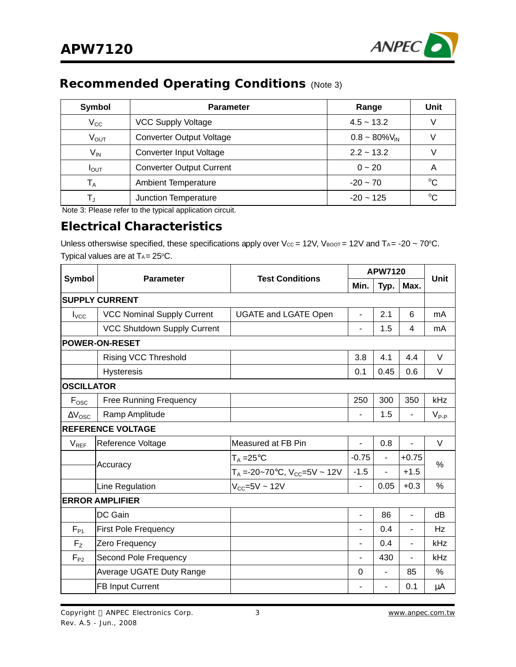

# **Recommended Operating Conditions** (Note 3)

| Symbol           | <b>Parameter</b>                | Range              | Unit        |
|------------------|---------------------------------|--------------------|-------------|
| $V_{\rm CC}$     | <b>VCC Supply Voltage</b>       | $4.5 - 13.2$       |             |
| $V_{\text{OUT}}$ | <b>Converter Output Voltage</b> | $0.8 - 80\%V_{IN}$ |             |
| V <sub>IN</sub>  | Converter Input Voltage         | $2.2 - 13.2$       |             |
| $I_{\text{OUT}}$ | <b>Converter Output Current</b> | $0 - 20$           | A           |
| $T_A$            | <b>Ambient Temperature</b>      | $-20 - 70$         | $^{\circ}C$ |
|                  | Junction Temperature            | $-20 \sim 125$     | $^{\circ}C$ |

Note 3: Please refer to the typical application circuit.

### **Electrical Characteristics**

Unless otherswise specified, these specifications apply over Vcc = 12V, VBOOT = 12V and TA = -20 ~ 70°C. Typical values are at  $T_A = 25^{\circ}C$ .

| <b>Symbol</b>         | <b>Parameter</b>                  | <b>Test Conditions</b>                         | <b>APW7120</b>           |                          |                          | Unit          |
|-----------------------|-----------------------------------|------------------------------------------------|--------------------------|--------------------------|--------------------------|---------------|
|                       |                                   |                                                | Min.                     | Typ.                     | Max.                     |               |
|                       | <b>SUPPLY CURRENT</b>             |                                                |                          |                          |                          |               |
| $I_{\text{VCC}}$      | <b>VCC Nominal Supply Current</b> | <b>UGATE and LGATE Open</b>                    | $\overline{\phantom{a}}$ | 2.1                      | 6                        | mA            |
|                       | VCC Shutdown Supply Current       |                                                |                          | 1.5                      | 4                        | mA            |
|                       | <b>POWER-ON-RESET</b>             |                                                |                          |                          |                          |               |
|                       | <b>Rising VCC Threshold</b>       |                                                | 3.8                      | 4.1                      | 4.4                      | V             |
|                       | <b>Hysteresis</b>                 |                                                | 0.1                      | 0.45                     | 0.6                      | V             |
| <b>OSCILLATOR</b>     |                                   |                                                |                          |                          |                          |               |
| $F_{\text{OSC}}$      | <b>Free Running Frequency</b>     |                                                | 250                      | 300                      | 350                      | kHz           |
| $\Delta V_{\rm{OSC}}$ | Ramp Amplitude                    |                                                |                          | 1.5                      | ٠                        | $V_{P-P}$     |
|                       | <b>REFERENCE VOLTAGE</b>          |                                                |                          |                          |                          |               |
| $V_{REF}$             | Reference Voltage                 | Measured at FB Pin                             |                          | 0.8                      |                          | $\vee$        |
|                       | Accuracy                          | $T_A = 25^{\circ}C$                            | $-0.75$                  | $\overline{\phantom{a}}$ | $+0.75$                  | %             |
|                       |                                   | $T_A = -20 - 70$ °C, V <sub>CC</sub> =5V ~ 12V | $-1.5$                   | $\overline{\phantom{m}}$ | $+1.5$                   |               |
|                       | Line Regulation                   | $V_{CC} = 5V \sim 12V$                         | $\blacksquare$           | 0.05                     | $+0.3$                   | $\frac{0}{0}$ |
|                       | <b>ERROR AMPLIFIER</b>            |                                                |                          |                          |                          |               |
|                       | DC Gain                           |                                                | ۰                        | 86                       | $\overline{\phantom{0}}$ | dB            |
| $F_{P1}$              | <b>First Pole Frequency</b>       |                                                |                          | 0.4                      | ä,                       | Hz            |
| F <sub>z</sub>        | Zero Frequency                    |                                                |                          | 0.4                      | $\blacksquare$           | kHz           |
| $F_{P2}$              | Second Pole Frequency             |                                                |                          | 430                      | $\blacksquare$           | kHz           |
|                       | Average UGATE Duty Range          |                                                | 0                        | $\blacksquare$           | 85                       | ℅             |
|                       | <b>FB Input Current</b>           |                                                |                          | $\overline{\phantom{a}}$ | 0.1                      | μA            |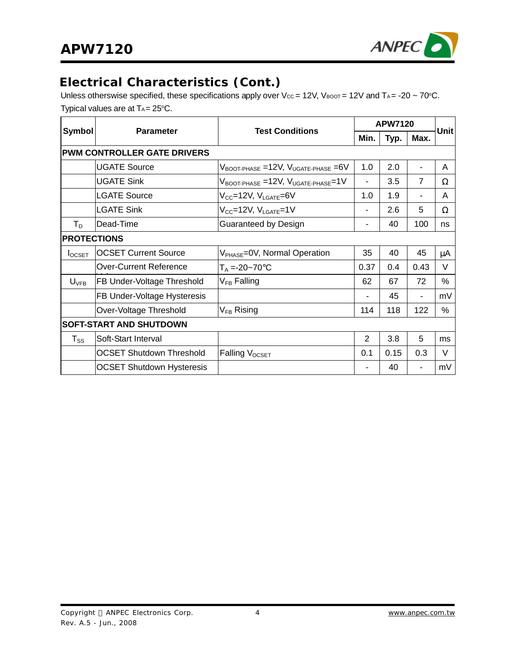

# **Electrical Characteristics (Cont.)**

Unless otherswise specified, these specifications apply over Vcc = 12V, VBOOT = 12V and TA = -20 ~ 70°C. Typical values are at  $T_A = 25^{\circ}C$ .

|                    | <b>Parameter</b>                   | <b>Test Conditions</b>                                     | <b>APW7120</b> |      |                | Unitl |
|--------------------|------------------------------------|------------------------------------------------------------|----------------|------|----------------|-------|
| <b>Symbol</b>      |                                    |                                                            |                | Typ. | Max.           |       |
|                    | <b>PWM CONTROLLER GATE DRIVERS</b> |                                                            |                |      |                |       |
|                    | <b>UGATE Source</b>                | $V_{\text{BOOT-PHASE}}$ =12V, $V_{\text{UGATE-PHASE}}$ =6V | 1.0            | 2.0  |                | A     |
|                    | <b>UGATE Sink</b>                  | $V_{\text{BOOT-PHASE}} = 12V, V_{\text{UGATE-PHASE}} = 1V$ | ٠              | 3.5  | $\overline{7}$ | Ω     |
|                    | <b>LGATE Source</b>                | V <sub>CC</sub> =12V, V <sub>LGATE</sub> =6V               | 1.0            | 1.9  |                | A     |
|                    | <b>LGATE Sink</b>                  | $V_{CC}$ =12V, $V_{LGATE}$ =1V                             | -              | 2.6  | 5              | Ω     |
| $T_D$              | Dead-Time                          | Guaranteed by Design                                       | ۰              | 40   | 100            | ns    |
| <b>PROTECTIONS</b> |                                    |                                                            |                |      |                |       |
| $I_{OCSET}$        | <b>OCSET Current Source</b>        | $V_{PHASE}$ =0V, Normal Operation                          | 35             | 40   | 45             | μA    |
|                    | <b>Over-Current Reference</b>      | $T_A = -20 - 70$ °C                                        | 0.37           | 0.4  | 0.43           | V     |
| $U_{\text{VFB}}$   | FB Under-Voltage Threshold         | $V_{FB}$ Falling                                           | 62             | 67   | 72             | %     |
|                    | FB Under-Voltage Hysteresis        |                                                            | -              | 45   | ۰              | mV    |
|                    | Over-Voltage Threshold             | $V_{FB}$ Rising                                            | 114            | 118  | 122            | %     |
|                    | SOFT-START AND SHUTDOWN            |                                                            |                |      |                |       |
| $T_{SS}$           | Soft-Start Interval                |                                                            | $\overline{2}$ | 3.8  | 5              | ms    |
|                    | <b>OCSET Shutdown Threshold</b>    | Falling V <sub>OCSET</sub>                                 | 0.1            | 0.15 | 0.3            | V     |
|                    | <b>OCSET Shutdown Hysteresis</b>   |                                                            |                | 40   | ۰              | mV    |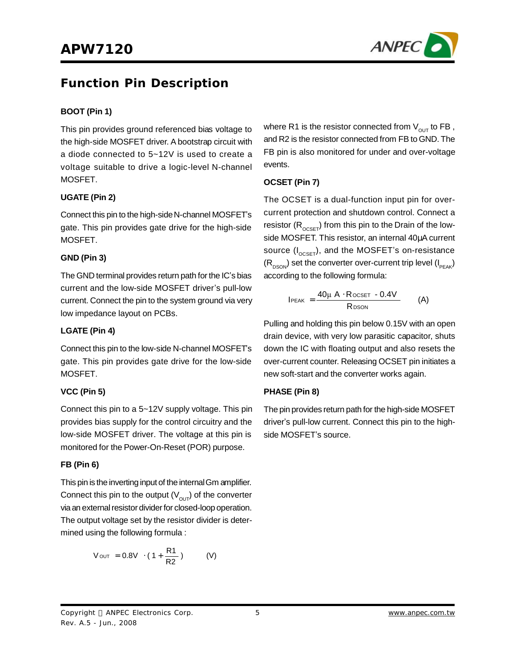

## **Function Pin Description**

#### **BOOT (Pin 1)**

This pin provides ground referenced bias voltage to the high-side MOSFET driver. A bootstrap circuit with a diode connected to 5~12V is used to create a voltage suitable to drive a logic-level N-channel MOSFET.

#### **UGATE (Pin 2)**

Connect this pin to the high-side N-channel MOSFET's gate. This pin provides gate drive for the high-side MOSFET.

#### **GND (Pin 3)**

The GND terminal provides return path for the IC's bias current and the low-side MOSFET driver's pull-low current. Connect the pin to the system ground via very low impedance layout on PCBs.

#### **LGATE (Pin 4)**

Connect this pin to the low-side N-channel MOSFET's gate. This pin provides gate drive for the low-side MOSFET.

#### **VCC (Pin 5)**

Connect this pin to a 5~12V supply voltage. This pin provides bias supply for the control circuitry and the low-side MOSFET driver. The voltage at this pin is monitored for the Power-On-Reset (POR) purpose.

#### **FB (Pin 6)**

This pin is the inverting input of the internalGm amplifier. Connect this pin to the output  $(V_{\text{OUT}})$  of the converter via an external resistor divider for closed-loop operation. The output voltage set by the resistor divider is determined using the following formula :

$$
V_{\text{OUT}} = 0.8V \cdot (1 + \frac{R1}{R2}) \qquad (V)
$$

where R1 is the resistor connected from  $V_{\text{out}}$  to FB, and R2 is the resistor connected from FB to GND. The FB pin is also monitored for under and over-voltage events.

#### **OCSET (Pin 7)**

The OCSET is a dual-function input pin for overcurrent protection and shutdown control. Connect a resistor  $(R_{OCSET})$  from this pin to the Drain of the lowside MOSFET. This resistor, an internal 40μA current source  $(I_{\text{OCSET}})$ , and the MOSFET's on-resistance  $(R_{DSON})$  set the converter over-current trip level ( $I_{PEAK}$ ) according to the following formula:

$$
I_{PEAK} = \frac{40\mu A \cdot R_{OCSET} - 0.4V}{R_{DSON}} \qquad (A)
$$

Pulling and holding this pin below 0.15V with an open drain device, with very low parasitic capacitor, shuts down the IC with floating output and also resets the over-current counter. Releasing OCSET pin initiates a new soft-start and the converter works again.

#### **PHASE (Pin 8)**

The pin provides return path for the high-side MOSFET driver's pull-low current. Connect this pin to the highside MOSFET's source.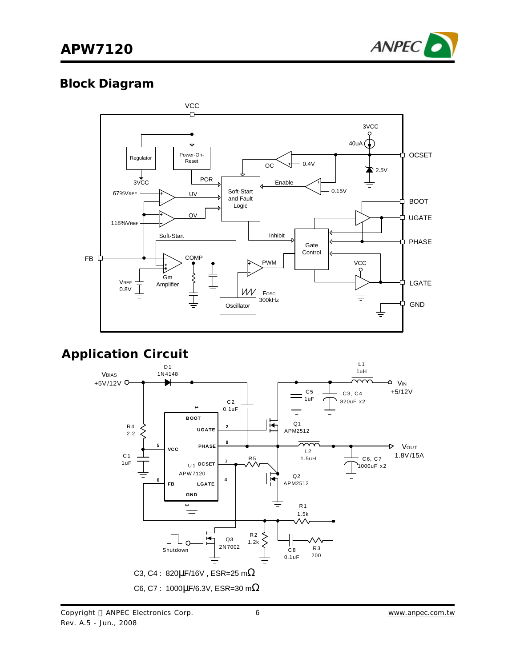

### **Block Diagram**



## **Application Circuit**

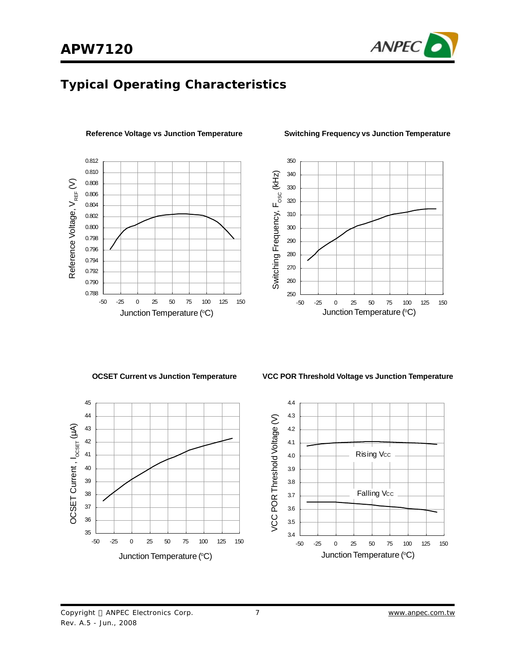

## **Typical Operating Characteristics**

**Reference Voltage vs Junction Temperature**



**Switching Frequency vs Junction Temperature**



**OCSET Current vs Junction Temperature VCC POR Threshold Voltage vs Junction Temperature**



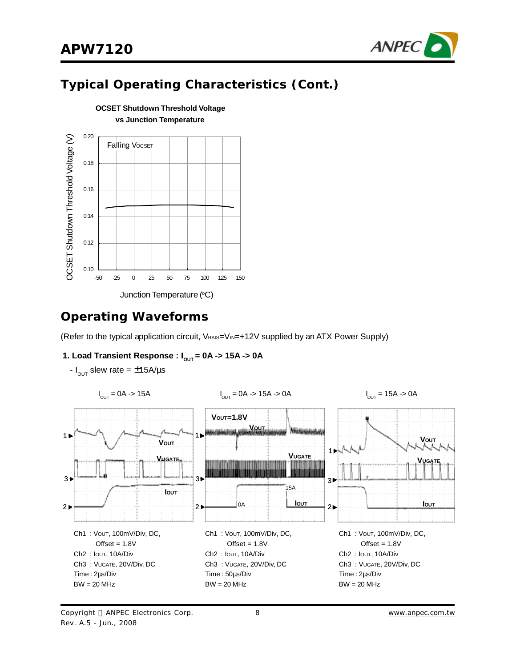

# **Typical Operating Characteristics (Cont.)**



### **OCSET Shutdown Threshold Voltage vs Junction Temperature**

### **Operating Waveforms**

(Refer to the typical application circuit, VBAIS=VIN=+12V supplied by an ATX Power Supply)

#### **1. Load Transient Response :**  $I_{OUT} = 0A \rightarrow 15A \rightarrow 0A$

- $I_{\text{OUT}} = 0A \rightarrow 15A$   $I_{\text{OUT}} = 0A \rightarrow 15A \rightarrow 0A$   $I_{\text{OUT}} = 15A \rightarrow 0A$ **VOUT=1.8V VOUT Wednesday** 1 1 **VOUT VOUT** 1 **VUGATE VUGATE VUGATE** m 3 3 3 15A **IOUT IOUT IOUT** $2<sub>b</sub>$ 0A  $2 \blacktriangleright$  $2 \blacktriangleright$ Ch1 : VOUT, 100mV/Div, DC, Ch1 : VOUT, 100mV/Div, DC, Ch1 : VOUT, 100mV/Div, DC, Offset  $= 1.8V$  $Offset = 1.8V$  $Offset = 1.8V$ Ch2 : IOUT, 10A/Div Ch2 : IOUT, 10A/Div Ch2 : IOUT, 10A/Div Ch3 : VUGATE, 20V/Div, DC Ch3 : VUGATE, 20V/Div, DC Ch3 : VUGATE, 20V/Div, DC Time : 2μs/Div Time : 50μs/Div Time : 2μs/Div  $BW = 20 MHz$ BW = 20 MHz  $BW = 20 MHz$
- $I_{OUT}$  slew rate =  $\pm$ 15A/ $\mu$ s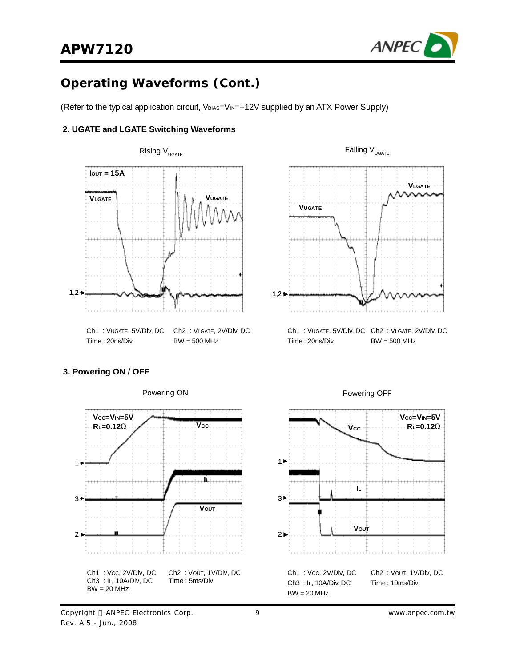

(Refer to the typical application circuit, VBIAS=VIN=+12V supplied by an ATX Power Supply)

#### **2. UGATE and LGATE Switching Waveforms**





Ch1 : VUGATE, 5V/Div, DC Ch2 : VLGATE, 2V/Div, DC Time : 20ns/Div BW = 500 MHz

#### **3. Powering ON / OFF**



Powering ON Powering OFF



Copyright © ANPEC Electronics Corp. Rev. A.5 - Jun., 2008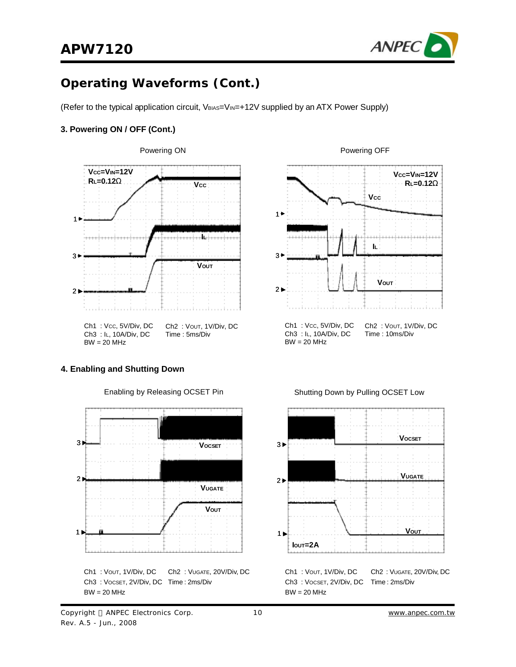

(Refer to the typical application circuit, VBIAS=VIN=+12V supplied by an ATX Power Supply)

#### **3. Powering ON / OFF (Cont.)**



#### **4. Enabling and Shutting Down**



Enabling by Releasing OCSET Pin





Ch1 : VOUT, 1V/Div, DC Ch3 : VOCSET, 2V/Div, DC Time : 2ms/Div  $BW = 20 MHz$ Ch2 : VUGATE, 20V/Div, DC

#### Copyright © ANPEC Electronics Corp. Rev. A.5 - Jun., 2008

### Shutting Down by Pulling OCSET Low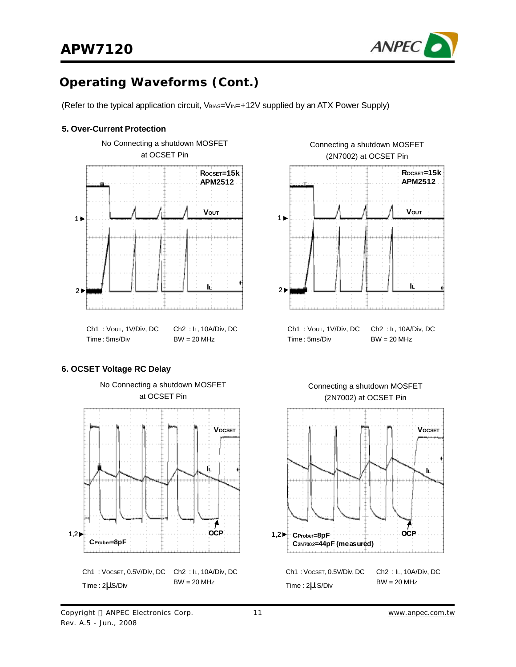

(Refer to the typical application circuit, VBIAS=VIN=+12V supplied by an ATX Power Supply)

#### **5. Over-Current Protection**



#### **6. OCSET Voltage RC Delay**

Rev. A.5 - Jun., 2008



No Connecting a shutdown MOSFET





Ch1 : VOUT, 1V/Div, DC Ch2 : IL, 10A/Div, DC

Time : 5ms/Div

Time : 2μ S/Div

 $BW = 20 MHz$ 





Copyright © ANPEC Electronics Corp.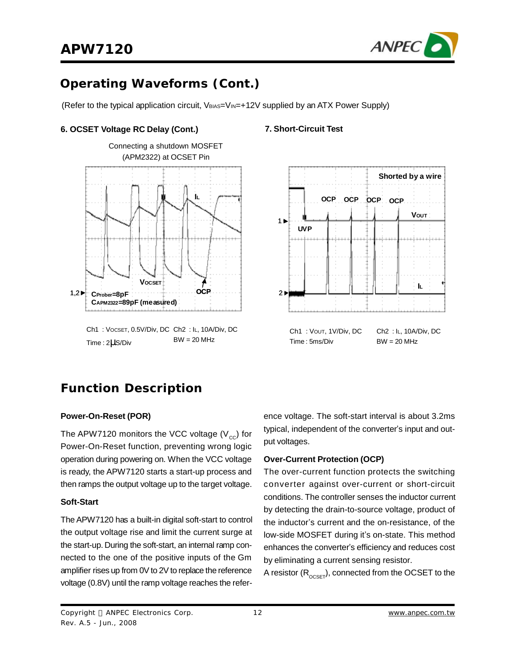

(Refer to the typical application circuit, VBIAS=VIN=+12V supplied by an ATX Power Supply)

#### **6. OCSET Voltage RC Delay (Cont.)**



Ch1 : VOCSET, 0.5V/Div, DC Ch2 : IL, 10A/Div, DC Time : 2μS/Div  $BW = 20 MHz$ 

#### **7. Short-Circuit Test**



## **Function Description**

#### **Power-On-Reset (POR)**

The APW7120 monitors the VCC voltage ( $V_{cc}$ ) for Power-On-Reset function, preventing wrong logic operation during powering on. When the VCC voltage is ready, the APW7120 starts a start-up process and then ramps the output voltage up to the target voltage.

#### **Soft-Start**

The APW7120 has a built-in digital soft-start to control the output voltage rise and limit the current surge at the start-up. During the soft-start, an internal ramp connected to the one of the positive inputs of the Gm amplifier rises up from 0V to 2V to replace the reference voltage (0.8V) until the ramp voltage reaches the reference voltage. The soft-start interval is about 3.2ms typical, independent of the converter's input and output voltages.

#### **Over-Current Protection (OCP)**

The over-current function protects the switching converter against over-current or short-circuit conditions. The controller senses the inductor current by detecting the drain-to-source voltage, product of the inductor's current and the on-resistance, of the low-side MOSFET during it's on-state. This method enhances the converter's efficiency and reduces cost by eliminating a current sensing resistor.

A resistor  $(R_{OCSET})$ , connected from the OCSET to the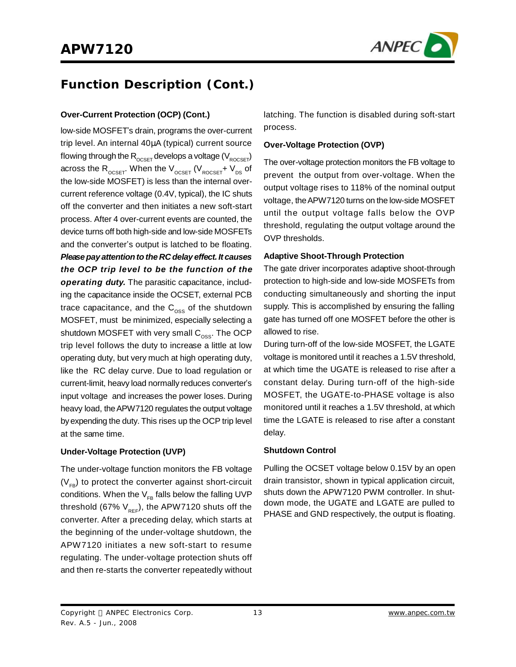

# **Function Description (Cont.)**

low-side MOSFET's drain, programs the over-current trip level. An internal 40μA (typical) current source flowing through the  $R_{OCSET}$  develops a voltage ( $V_{ROCSET}$ ) across the  $R_{\text{OCSET}}$ . When the  $V_{\text{OCSET}}$  ( $V_{\text{ROCSET}}$ +  $V_{\text{DS}}$  of the low-side MOSFET) is less than the internal overcurrent reference voltage (0.4V, typical), the IC shuts off the converter and then initiates a new soft-start process. After 4 over-current events are counted, the device turns off both high-side and low-side MOSFETs and the converter's output is latched to be floating. *Pleasepay attention to the RC delay effect. It causes the OCP trip level to be the function of the operating duty.* The parasitic capacitance, including the capacitance inside the OCSET, external PCB trace capacitance, and the  $C_{\text{oss}}$  of the shutdown MOSFET, must be minimized, especially selecting a shutdown MOSFET with very small  $C_{\text{oss}}$ . The OCP trip level follows the duty to increase a little at low operating duty, but very much at high operating duty, like the RC delay curve. Due to load regulation or current-limit, heavy load normally reduces converter's input voltage and increases the power loses. During heavy load, the APW7120 regulates the output voltage by expending the duty. This rises up the OCP trip level at the same time.

#### **Under-Voltage Protection (UVP)**

The under-voltage function monitors the FB voltage  $(V_{FB})$  to protect the converter against short-circuit conditions. When the  $V_{FB}$  falls below the falling UVP threshold (67%  $V_{RF}$ ), the APW7120 shuts off the converter. After a preceding delay, which starts at the beginning of the under-voltage shutdown, the APW7120 initiates a new soft-start to resume regulating. The under-voltage protection shuts off and then re-starts the converter repeatedly without

**Over-Current Protection (OCP) (Cont.)** latching. The function is disabled during soft-start process.

#### **Over-Voltage Protection (OVP)**

The over-voltage protection monitors the FB voltage to prevent the output from over-voltage. When the output voltage rises to 118% of the nominal output voltage, theAPW7120 turns on the low-side MOSFET until the output voltage falls below the OVP threshold, regulating the output voltage around the OVP thresholds.

#### **Adaptive Shoot-Through Protection**

The gate driver incorporates adaptive shoot-through protection to high-side and low-side MOSFETs from conducting simultaneously and shorting the input supply. This is accomplished by ensuring the falling gate has turned off one MOSFET before the other is allowed to rise.

During turn-off of the low-side MOSFET, the LGATE voltage is monitored until it reaches a 1.5V threshold, at which time the UGATE is released to rise after a constant delay. During turn-off of the high-side MOSFET, the UGATE-to-PHASE voltage is also monitored until it reaches a 1.5V threshold, at which time the LGATE is released to rise after a constant delay.

#### **Shutdown Control**

Pulling the OCSET voltage below 0.15V by an open drain transistor, shown in typical application circuit, shuts down the APW7120 PWM controller. In shutdown mode, the UGATE and LGATE are pulled to PHASE and GND respectively, the output is floating.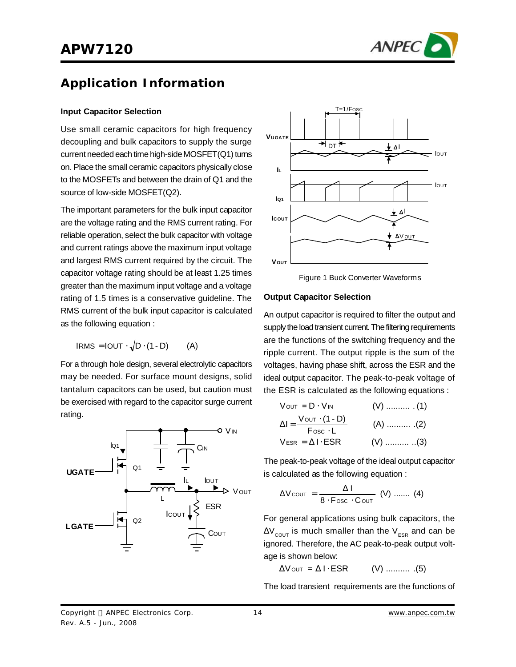

# **Application Information**

#### **Input Capacitor Selection**

Use small ceramic capacitors for high frequency decoupling and bulk capacitors to supply the surge current needed each time high-side  $MOSFET(Q1)$  turns on. Place the small ceramic capacitors physically close to the MOSFETs and between the drain of Q1 and the source of low-side MOSFET(Q2).

The important parameters for the bulk input capacitor are the voltage rating and the RMS current rating. For reliable operation, select the bulk capacitor with voltage and current ratings above the maximum input voltage and largest RMS current required by the circuit. The capacitor voltage rating should be at least 1.25 times greater than the maximum input voltage and a voltage rating of 1.5 times is a conservative guideline. The RMS current of the bulk input capacitor is calculated as the following equation :

$$
IRMS = IOUT \cdot \sqrt{D \cdot (1-D)} \qquad (A)
$$

For a through hole design, several electrolytic capacitors may be needed. For surface mount designs, solid tantalum capacitors can be used, but caution must be exercised with regard to the capacitor surge current rating.





Figure 1 Buck Converter Waveforms

#### **Output Capacitor Selection**

An output capacitor is required to filter the output and supply the load transient current. The filtering requirements are the functions of the switching frequency and the ripple current. The output ripple is the sum of the voltages, having phase shift, across the ESR and the ideal output capacitor. The peak-to-peak voltage of the ESR is calculated as the following equations :

$$
V_{OUT} = D \cdot V_{IN} \t\t (V) \t\t (1)
$$
  
\n
$$
\Delta I = \frac{V_{OUT} \cdot (1 - D)}{F_{OSC} \cdot L} \t\t (A) \t\t (2)
$$
  
\n
$$
V_{ESR} = \Delta I \cdot ESR \t\t (V) \t\t (3)
$$

The peak-to-peak voltage of the ideal output capacitor is calculated as the following equation :

$$
\Delta V_{\text{COUT}} = \frac{\Delta I}{8 \cdot F_{\text{OSC}} \cdot C_{\text{OUT}}} \quad (V) \ \dots \dots \ (4)
$$

For general applications using bulk capacitors, the  $\Delta V_{\text{COUT}}$  is much smaller than the  $V_{\text{ESR}}$  and can be ignored. Therefore, the AC peak-to-peak output voltage is shown below:

 $\Delta V$  OUT =  $\Delta I \cdot ESR$  (V) .......... (5)

The load transient requirements are the functions of

Copyright © ANPEC Electronics Corp. Rev. A.5 - Jun., 2008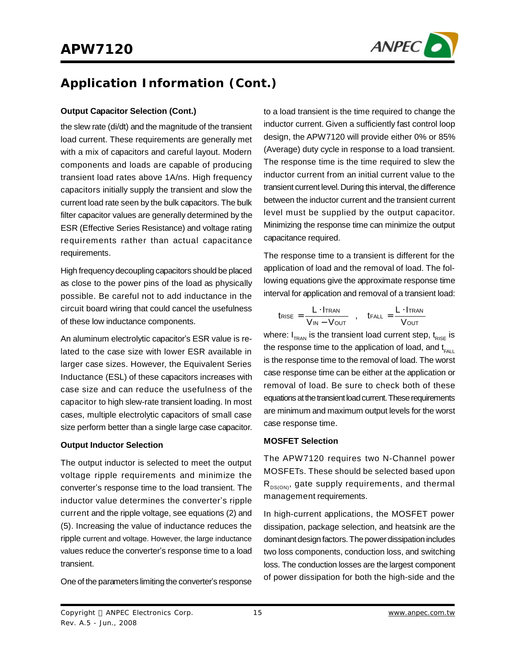

#### **Output Capacitor Selection (Cont.)**

the slew rate (di/dt) and the magnitude of the transient load current. These requirements are generally met with a mix of capacitors and careful layout. Modern components and loads are capable of producing transient load rates above 1A/ns. High frequency capacitors initially supply the transient and slow the current load rate seen by the bulk capacitors. The bulk filter capacitor values are generally determined by the ESR (Effective Series Resistance) and voltage rating requirements rather than actual capacitance requirements.

High frequencydecoupling capacitors should be placed as close to the power pins of the load as physically possible. Be careful not to add inductance in the circuit board wiring that could cancel the usefulness of these low inductance components.

An aluminum electrolytic capacitor's ESR value is related to the case size with lower ESR available in larger case sizes. However, the Equivalent Series Inductance (ESL) of these capacitors increases with case size and can reduce the usefulness of the capacitor to high slew-rate transient loading. In most cases, multiple electrolytic capacitors of small case size perform better than a single large case capacitor.

#### **Output Inductor Selection**

The output inductor is selected to meet the output voltage ripple requirements and minimize the converter's response time to the load transient. The inductor value determines the converter's ripple current and the ripple voltage, see equations (2) and (5). Increasing the value of inductance reduces the ripple current and voltage. However, the large inductance values reduce the converter's response time to a load transient.

One of the parameters limiting the converter's response

to a load transient is the time required to change the inductor current. Given a sufficiently fast control loop design, the APW7120 will provide either 0% or 85% (Average) duty cycle in response to a load transient. The response time is the time required to slew the inductor current from an initial current value to the transient current level.During this interval, the difference between the inductor current and the transient current level must be supplied by the output capacitor. Minimizing the response time can minimize the output capacitance required.

The response time to a transient is different for the application of load and the removal of load. The following equations give the approximate response time interval for application and removal of a transient load:

$$
t_{\text{RISE}} = \frac{L \cdot I_{\text{TRAN}}}{V_{\text{IN}} - V_{\text{OUT}}}, \quad t_{\text{FALL}} = \frac{L \cdot I_{\text{TRAN}}}{V_{\text{OUT}}}
$$

where:  $I_{TRAN}$  is the transient load current step,  $t_{RISE}$  is the response time to the application of load, and  $t_{FAP}$ is the response time to the removal of load. The worst case response time can be either at the application or removal of load. Be sure to check both of these equations at the transient load current. These requirements are minimum and maximum output levels for the worst case response time.

#### **MOSFET Selection**

The APW7120 requires two N-Channel power MOSFETs. These should be selected based upon  $R_{DS(ON)}$ , gate supply requirements, and thermal management requirements.

In high-current applications, the MOSFET power dissipation, package selection, and heatsink are the dominant design factors. The power dissipation includes two loss components, conduction loss, and switching loss. The conduction losses are the largest component of power dissipation for both the high-side and the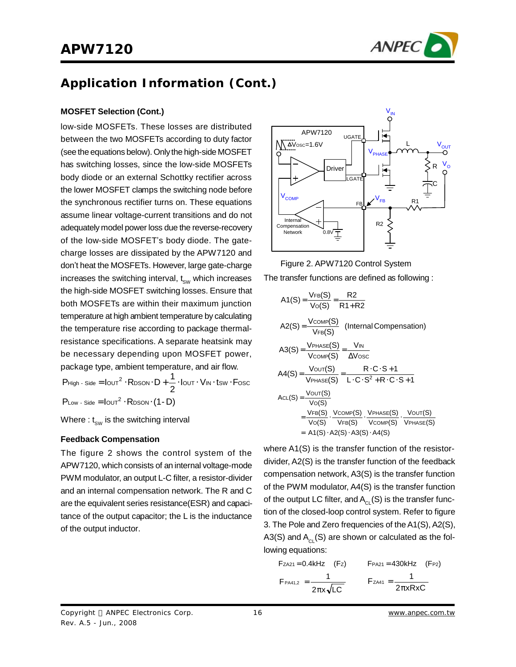

#### **MOSFET Selection (Cont.)**

low-side MOSFETs. These losses are distributed between the two MOSFETs according to duty factor (see the equations below). Only the high-side MOSFET has switching losses, since the low-side MOSFETs body diode or an external Schottky rectifier across the lower MOSFET clamps the switching node before the synchronous rectifier turns on. These equations assume linear voltage-current transitions and do not adequately model power loss due the reverse-recovery of the low-side MOSFET's body diode. The gatecharge losses are dissipated by the APW7120 and don't heat the MOSFETs. However, large gate-charge increases the switching interval,  $t_{SW}$  which increases the high-side MOSFET switching losses. Ensure that both MOSFETs are within their maximum junction temperature at high ambient temperature by calculating the temperature rise according to package thermalresistance specifications. A separate heatsink may be necessary depending upon MOSFET power, package type, ambient temperature, and air flow.

 $P_{Low}$  - Side  $=$   $I_{OUT}^2 \cdot R_{DSON} \cdot (1 - D)$  $I$  OUT  $\cdot$  VIN  $\cdot$  tsw  $\cdot$  F 2  $P$ High - Side =  $I_{\text{OUT}}^2 \cdot R_{\text{DSON}} \cdot D + \frac{1}{2} \cdot I_{\text{OUT}} \cdot V_{\text{IN}} \cdot t_{\text{SW}} \cdot F_{\text{OSC}}$ 

Where :  $t_{sw}$  is the switching interval

#### **Feedback Compensation**

The figure 2 shows the control system of the APW7120, which consists of an internal voltage-mode PWM modulator, an output L-C filter, a resistor-divider and an internal compensation network. The R and C are the equivalent series resistance(ESR) and capacitance of the output capacitor; the L is the inductance of the output inductor.





$$
A1(S) = \frac{V_{FB}(S)}{V_{O}(S)} = \frac{R2}{R1 + R2}
$$
\n
$$
A2(S) = \frac{V_{COMP}(S)}{V_{FB}(S)} \quad \text{(Internal Comparison)}
$$
\n
$$
A3(S) = \frac{V_{PHASE}(S)}{V_{COMP}(S)} = \frac{V_{IN}}{\Delta V_{OSC}}
$$
\n
$$
A4(S) = \frac{V_{OUT}(S)}{V_{PHASE}(S)} = \frac{R \cdot C \cdot S + 1}{L \cdot C \cdot S^{2} + R \cdot C \cdot S + 1}
$$
\n
$$
ACL(S) = \frac{V_{OUT}(S)}{V_{O}(S)} = \frac{V_{FBS}(S)}{V_{O}(S)} \cdot \frac{V_{PHASE}(S)}{V_{VEM}(S)} \cdot \frac{V_{OUT}(S)}{V_{PHASE}(S)}
$$
\n
$$
= A1(S) \cdot A2(S) \cdot A3(S) \cdot A4(S)
$$

where A1(S) is the transfer function of the resistordivider, A2(S) is the transfer function of the feedback compensation network, A3(S) is the transfer function of the PWM modulator, A4(S) is the transfer function of the output LC filter, and  $A<sub>CL</sub>(S)$  is the transfer function of the closed-loop control system. Refer to figure 3. The Pole and Zero frequencies of theA1(S), A2(S), A3(S) and  $A<sub>CI</sub>(S)$  are shown or calculated as the following equations:

$$
F_{PA41,2} = 0.4kHz \t(Fz) \tF_{PA41,2} = \frac{1}{2\pi x \sqrt{LC}} \tF_{ZA41} = \frac{1}{2\pi xRxC}
$$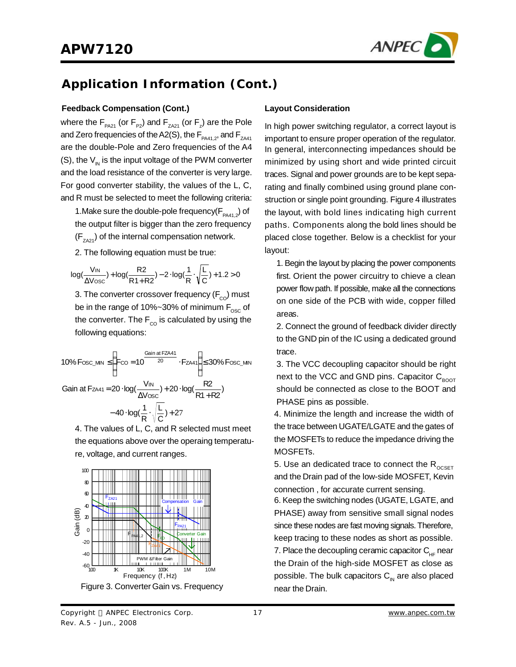

#### **Feedback Compensation (Cont.)**

where the  $\mathsf{F}_{_{\sf PA21}}$  (or  $\mathsf{F}_{_{\sf PQ}}$ ) and  $\mathsf{F}_{_{\sf ZAZ1}}$  (or  $\mathsf{F}_{_{\sf Z}}$ ) are the Pole and Zero frequencies of the A2(S), the  $F_{PA41,2}$ , and  $F_{ZAA1}$ are the double-Pole and Zero frequencies of the A4 (S), the  $V_{\text{IN}}$  is the input voltage of the PWM converter and the load resistance of the converter is very large. For good converter stability, the values of the L, C, and R must be selected to meet the following criteria:

1. Make sure the double-pole frequency( $F_{PA41,2}$ ) of the output filter is bigger than the zero frequency  $(F_{Z_A21})$  of the internal compensation network.

2. The following equation must be true:

$$
log(\frac{V_{IN}}{\Delta V_{OSC}}) + log(\frac{R2}{R1+R2}) - 2 \cdot log(\frac{1}{R} \cdot \sqrt{\frac{L}{C}}) + 1.2 > 0
$$

3. The converter crossover frequency  $(F_{\rm co})$  must be in the range of 10%~30% of minimum  $F_{\rm osc}$  of the converter. The  $F_{\rm co}$  is calculated by using the following equations:

10% Fosc\_Mn 
$$
\le \left(F_{CO} = 10^{\frac{Gain at FZA41}{20}} \cdot F_{ZA41}\right) \le 30\% Fosc_Mn
$$
  
\nGain at Fza41 = 20  $\cdot \log(\frac{V_{IN}}{\Delta V \csc}) + 20 \cdot \log(\frac{R2}{R1 + R2}) - 40 \cdot \log(\frac{1}{R} \cdot \sqrt{\frac{L}{C}}) + 27$ 

4. The values of L, C, and R selected must meet the equations above over the operaing temperature, voltage, and current ranges.



Figure 3. Converter Gain vs. Frequency

#### **Layout Consideration**

In high power switching regulator, a correct layout is important to ensure proper operation of the regulator. In general, interconnecting impedances should be minimized by using short and wide printed circuit traces. Signal and power grounds are to be kept separating and finally combined using ground plane construction or single point grounding. Figure 4 illustrates the layout, with bold lines indicating high current paths. Components along the bold lines should be placed close together. Below is a checklist for your layout:

1. Begin the layout by placing the power components first. Orient the power circuitry to chieve a clean power flow path. If possible, make all the connections on one side of the PCB with wide, copper filled areas.

2. Connect the ground of feedback divider directly to the GND pin of the IC using a dedicated ground trace.

3. The VCC decoupling capacitor should be right next to the VCC and GND pins. Capacitor  $C_{\text{foot}}$ should be connected as close to the BOOT and PHASE pins as possible.

4. Minimize the length and increase the width of the trace between UGATE/LGATE and the gates of the MOSFETs to reduce the impedance driving the MOSFETs.

5. Use an dedicated trace to connect the  $R_{\text{OCSET}}$ and the Drain pad of the low-side MOSFET, Kevin connection , for accurate current sensing.

6. Keep the switching nodes (UGATE, LGATE, and PHASE) away from sensitive small signal nodes since these nodes are fast moving signals. Therefore, keep tracing to these nodes as short as possible. 7. Place the decoupling ceramic capacitor  $C_{HF}$  near the Drain of the high-side MOSFET as close as possible. The bulk capacitors  $C_{\text{IN}}$  are also placed near the Drain.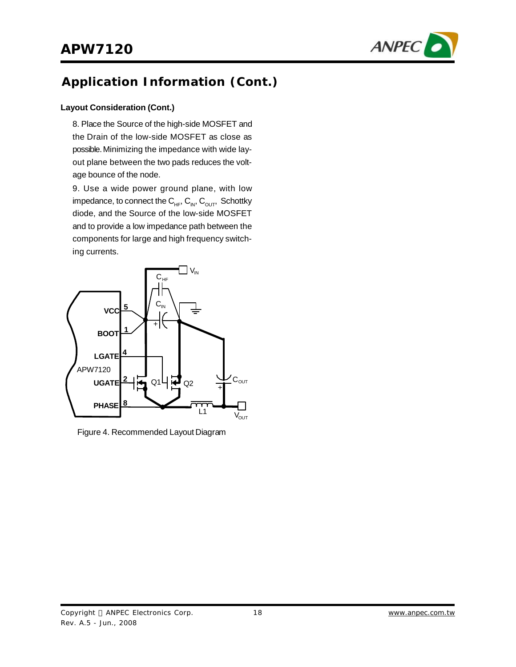

#### **Layout Consideration (Cont.)**

8. Place the Source of the high-side MOSFET and the Drain of the low-side MOSFET as close as possible.Minimizing the impedance with wide layout plane between the two pads reduces the voltage bounce of the node.

9. Use a wide power ground plane, with low impedance, to connect the  $C_{HF}$ ,  $C_{IV}$ ,  $C_{OUT}$ , Schottky diode, and the Source of the low-side MOSFET and to provide a low impedance path between the components for large and high frequency switching currents.



Figure 4. Recommended Layout Diagram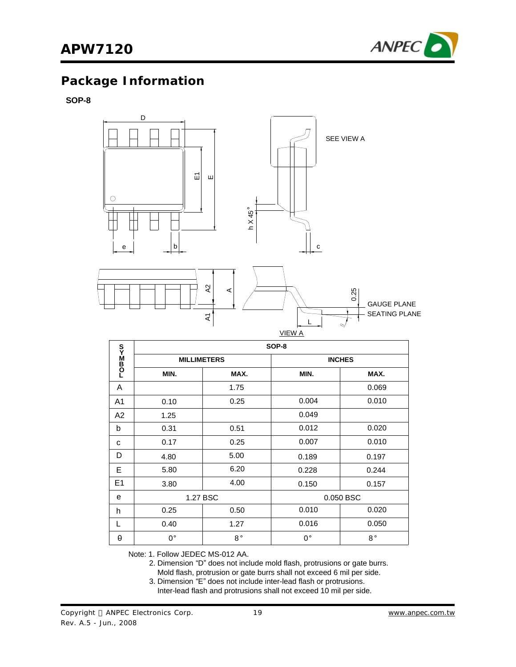

# **Package Information**

**SOP-8**



|                | SOP-8              |             |             |               |  |
|----------------|--------------------|-------------|-------------|---------------|--|
| <b>DOBN20</b>  | <b>MILLIMETERS</b> |             |             | <b>INCHES</b> |  |
|                | MIN.               | MAX.        | MIN.        | MAX.          |  |
| A              |                    | 1.75        |             | 0.069         |  |
| A <sub>1</sub> | 0.10               | 0.25        | 0.004       | 0.010         |  |
| A2             | 1.25               |             | 0.049       |               |  |
| b              | 0.31               | 0.51        | 0.012       | 0.020         |  |
| C              | 0.17               | 0.25        | 0.007       | 0.010         |  |
| D              | 4.80               | 5.00        | 0.189       | 0.197         |  |
| E              | 5.80               | 6.20        | 0.228       | 0.244         |  |
| E <sub>1</sub> | 3.80               | 4.00        | 0.150       | 0.157         |  |
| e              | 1.27 BSC           |             |             | 0.050 BSC     |  |
| h              | 0.25               | 0.50        | 0.010       | 0.020         |  |
| L              | 0.40               | 1.27        | 0.016       | 0.050         |  |
| θ              | 0°                 | $8^{\circ}$ | $0^{\circ}$ | $8^{\circ}$   |  |

Note: 1. Follow JEDEC MS-012 AA.

2. Dimension "D" does not include mold flash, protrusions or gate burrs.

Mold flash, protrusion or gate burrs shall not exceed 6 mil per side.

3. Dimension "E" does not include inter-lead flash or protrusions.

Inter-lead flash and protrusions shall not exceed 10 mil per side.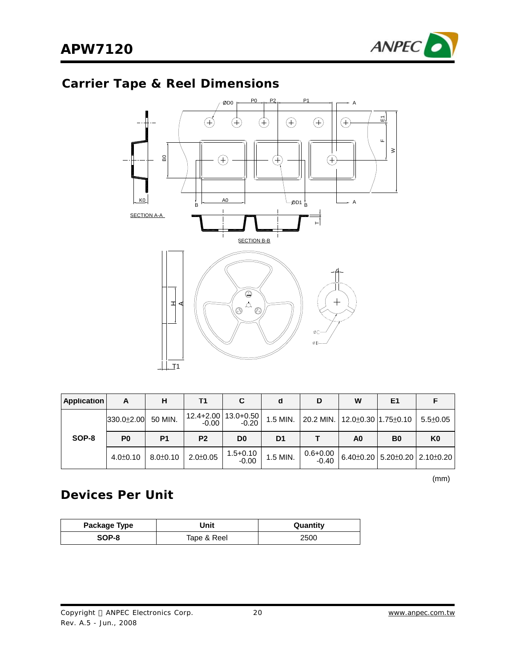

# **Carrier Tape & Reel Dimensions**



| <b>Application</b> | A              | н              | Τ1             | С                                  | d              | D                                                     | W              | E1 |                                             |
|--------------------|----------------|----------------|----------------|------------------------------------|----------------|-------------------------------------------------------|----------------|----|---------------------------------------------|
|                    | 330.0±2.00     | 50 MIN.        | $-0.00$        | 12.4+2.00   13.0+0.50  <br>$-0.20$ | 1.5 MIN.       | $\vert$ 20.2 MIN. $\vert$ 12.0±0.30 $\vert$ 1.75±0.10 |                |    | $5.5 \pm 0.05$                              |
| SOP-8              | P <sub>0</sub> | P <sub>1</sub> | P <sub>2</sub> | D <sub>0</sub>                     | D <sub>1</sub> |                                                       | A <sub>0</sub> | B0 | K <sub>0</sub>                              |
|                    | $4.0 \pm 0.10$ | $8.0 \pm 0.10$ | $2.0 \pm 0.05$ | $1.5 + 0.10$                       | 1.5 MIN.       | $0.6 + 0.00$<br>$-0.40$                               |                |    | $6.40\pm0.20$ 5.20 $\pm0.20$ 2.10 $\pm0.20$ |

 $(mm)$ 

### **Devices Per Unit**

| Package Type | Unit        | Quantity |
|--------------|-------------|----------|
| SOP-8        | Tape & Reel | 2500     |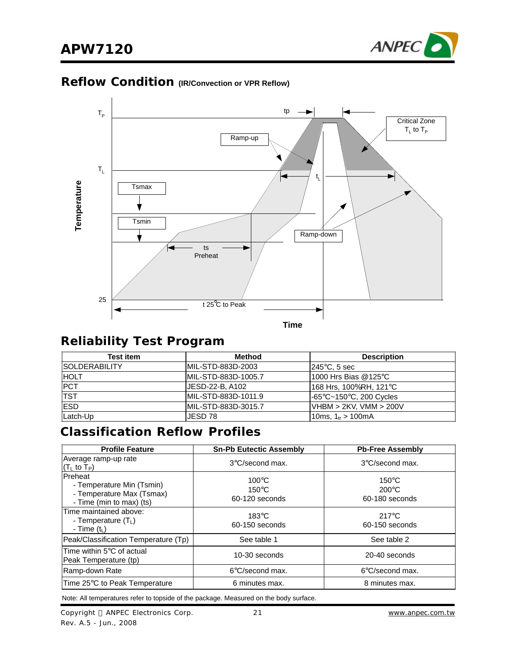

### **Reflow Condition (IR/Convection or VPR Reflow)**



### **Reliability Test Program**

| Test item             | <b>Method</b>       | <b>Description</b>             |
|-----------------------|---------------------|--------------------------------|
| <b>ISOLDERABILITY</b> | IMIL-STD-883D-2003  | $ 245^{\circ}$ C, 5 sec        |
| <b>HOLT</b>           | MIL-STD-883D-1005.7 | 1000 Hrs Bias @125 $\degree$ C |
| <b>PCT</b>            | JESD-22-B. A102     | 168 Hrs, 100%RH, 121°C         |
| <b>TST</b>            | MIL-STD-883D-1011.9 | l-65°C~150°C, 200 Cycles       |
| <b>ESD</b>            | MIL-STD-883D-3015.7 | $VHBM > 2KV$ , $VMM > 200V$    |
| Latch-Up              | JESD 78             | 10ms, $1_{tr}$ > 100mA         |

### **Classification Reflow Profiles**

| <b>Profile Feature</b>                                                                        | <b>Sn-Pb Eutectic Assembly</b>                       | <b>Pb-Free Assembly</b>                              |
|-----------------------------------------------------------------------------------------------|------------------------------------------------------|------------------------------------------------------|
| Average ramp-up rate<br>$(TL$ to T <sub>P</sub> )                                             | 3°C/second max.                                      | 3°C/second max.                                      |
| Preheat<br>- Temperature Min (Tsmin)<br>- Temperature Max (Tsmax)<br>- Time (min to max) (ts) | $100^{\circ}$ C<br>$150^{\circ}$ C<br>60-120 seconds | $150^{\circ}$ C<br>$200^{\circ}$ C<br>60-180 seconds |
| Time maintained above:<br>- Temperature $(TL)$<br>- Time $(t1)$                               | $183^\circ C$<br>60-150 seconds                      | $217^{\circ}$ C<br>60-150 seconds                    |
| Peak/Classification Temperature (Tp)                                                          | See table 1                                          | See table 2                                          |
| Time within $5^{\circ}$ C of actual<br>Peak Temperature (tp)                                  | 10-30 seconds                                        | 20-40 seconds                                        |
| Ramp-down Rate                                                                                | $6^{\circ}$ C/second max.                            | 6°C/second max.                                      |
| Time 25°C to Peak Temperature                                                                 | 6 minutes max.                                       | 8 minutes max.                                       |

Note: All temperatures refer to topside of the package. Measured on the body surface.